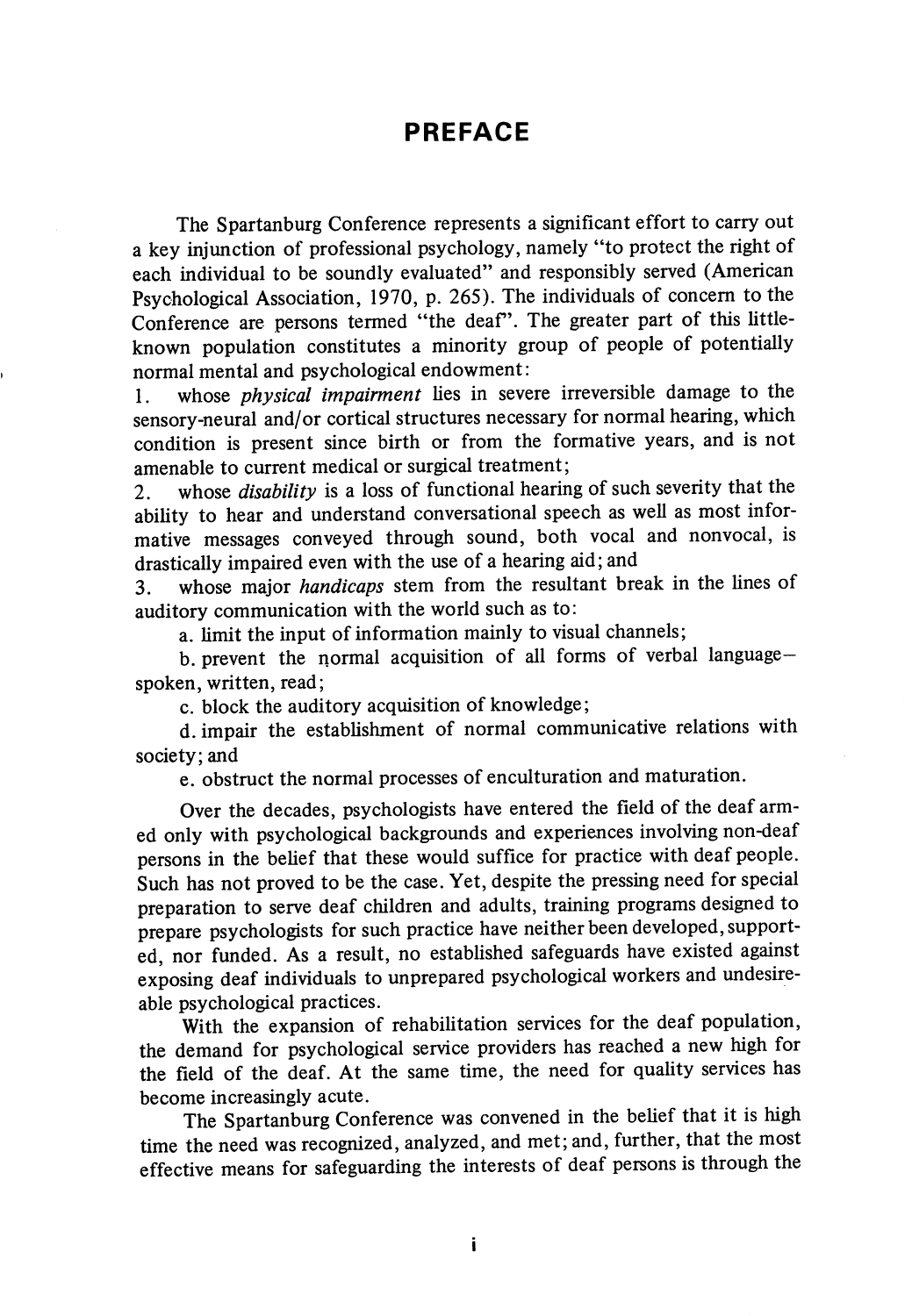## PREFACE

The Spartanburg Conference represents a significant effort to carry out a key injunction of professional psychology, namely "to protect the right of each individual to be soundly evaluated" and responsibly served (American Psychological Association, 1970, p. 265). The individuals of concern to the Conference are persons termed "the deaf". The greater part of this littleknown population constitutes a minority group of people of potentially normal mental and psychological endowment:

1. whose *physical impairment* lies in severe irreversible damage to the sensory-neural and/or cortical structures necessary for normal hearing, which condition is present since birth or from the formative years, and is not amenable to current medical or surgical treatment;

2. whose *disability* is a loss of functional hearing of such severity that the ability to hear and understand conversational speech as well as most informative messages conveyed through sound, both vocal and nonvocal, is drastically impaired even with the use of a hearing aid; and

3. whose major handicaps stem from the resultant break in the lines of auditory communication with the world such as to:

a. limit the input of information mainly to visual channels;

b. prevent the normal acquisition of all forms of verbal languagespoken, written, read;

c. block the auditory acquisition of knowledge;

d. impair the establishment of normal communicative relations with society; and

e. obstruct the normal processes of enculturation and maturation.

Over the decades, psychologists have entered the field of the deaf arm ed only with psychological backgrounds and experiences involving non-deaf persons in the belief that these would suffice for practice with deaf people. Such has not proved to be the case. Yet, despite the pressing need for special preparation to serve deaf children and adults, training programs designed to prepare psychologists for such practice have neither been developed, support ed, nor funded. As a result, no established safeguards have existed against exposing deaf individuals to unprepared psychological workers and undesireable psychological practices.

With the expansion of rehabilitation services for the deaf population, the demand for psychological service providers has reached a new high for the field of the deaf. At the same time, the need for quality services has become increasingly acute.

The Spartanburg Conference was convened in the belief that it is high time the need was recognized, analyzed, and met; and, further, that the most effective means for safeguarding the interests of deaf persons is through the